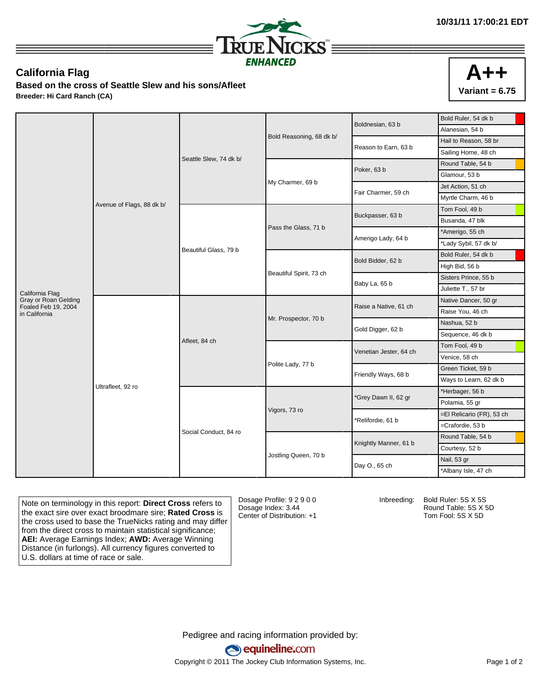

## **California Flag**

**Based on the cross of Seattle Slew and his sons/Afleet Breeder: Hi Card Ranch (CA)**

|                                             | Avenue of Flags, 88 dk b/ | Seattle Slew, 74 dk b/ |                          | Boldnesian, 63 b       | Bold Ruler, 54 dk b       |
|---------------------------------------------|---------------------------|------------------------|--------------------------|------------------------|---------------------------|
|                                             |                           |                        |                          |                        | Alanesian, 54 b           |
|                                             |                           |                        | Bold Reasoning, 68 dk b/ | Reason to Earn, 63 b   | Hail to Reason, 58 br     |
|                                             |                           |                        |                          |                        | Sailing Home, 48 ch       |
|                                             |                           |                        |                          | Poker, 63 b            | Round Table, 54 b         |
|                                             |                           |                        | My Charmer, 69 b         |                        | Glamour, 53 b             |
|                                             |                           |                        |                          | Fair Charmer, 59 ch    | Jet Action, 51 ch         |
|                                             |                           |                        |                          |                        | Myrtle Charm, 46 b        |
|                                             |                           | Beautiful Glass, 79 b  | Pass the Glass, 71 b     | Buckpasser, 63 b       | Tom Fool, 49 b            |
|                                             |                           |                        |                          |                        | Busanda, 47 blk           |
|                                             |                           |                        |                          | Amerigo Lady, 64 b     | *Amerigo, 55 ch           |
|                                             |                           |                        |                          |                        | *Lady Sybil, 57 dk b/     |
|                                             |                           |                        | Beautiful Spirit, 73 ch  | Bold Bidder, 62 b      | Bold Ruler, 54 dk b       |
|                                             |                           |                        |                          |                        | High Bid, 56 b            |
|                                             |                           |                        |                          | Baby La, 65 b          | Sisters Prince, 55 b      |
| California Flag                             |                           |                        |                          |                        | Juliette T., 57 br        |
| Gray or Roan Gelding<br>Foaled Feb 19, 2004 | Ultrafleet, 92 ro         | Afleet, 84 ch          | Mr. Prospector, 70 b     | Raise a Native, 61 ch  | Native Dancer, 50 gr      |
| in California                               |                           |                        |                          |                        | Raise You, 46 ch          |
|                                             |                           |                        |                          | Gold Digger, 62 b      | Nashua, 52 b              |
|                                             |                           |                        |                          |                        | Sequence, 46 dk b         |
|                                             |                           |                        | Polite Lady, 77 b        | Venetian Jester, 64 ch | Tom Fool, 49 b            |
|                                             |                           |                        |                          |                        | Venice, 58 ch             |
|                                             |                           |                        |                          | Friendly Ways, 68 b    | Green Ticket, 59 b        |
|                                             |                           |                        |                          |                        | Ways to Learn, 62 dk b    |
|                                             |                           | Social Conduct, 84 ro  | Vigors, 73 ro            | *Grey Dawn II, 62 gr   | *Herbager, 56 b           |
|                                             |                           |                        |                          |                        | Polamia, 55 gr            |
|                                             |                           |                        |                          | *Relifordie, 61 b      | =El Relicario (FR), 53 ch |
|                                             |                           |                        |                          |                        | =Crafordie, 53 b          |
|                                             |                           |                        | Jostling Queen, 70 b     | Knightly Manner, 61 b  | Round Table, 54 b         |
|                                             |                           |                        |                          |                        | Courtesy, 52 b            |
|                                             |                           |                        |                          | Day O., 65 ch          | Nail, 53 gr               |
|                                             |                           |                        |                          |                        | *Albany Isle, 47 ch       |

Note on terminology in this report: **Direct Cross** refers to the exact sire over exact broodmare sire; **Rated Cross** is the cross used to base the TrueNicks rating and may differ from the direct cross to maintain statistical significance; **AEI:** Average Earnings Index; **AWD:** Average Winning Distance (in furlongs). All currency figures converted to U.S. dollars at time of race or sale.

Dosage Profile: 9 2 9 0 0 Dosage Index: 3.44 Center of Distribution: +1

Inbreeding: Bold Ruler: 5S X 5S

Round Table: 5S X 5D Tom Fool: 5S X 5D

Pedigree and racing information provided by: equineline.com

Copyright © 2011 The Jockey Club Information Systems, Inc. example 2012 Page 1 of 2